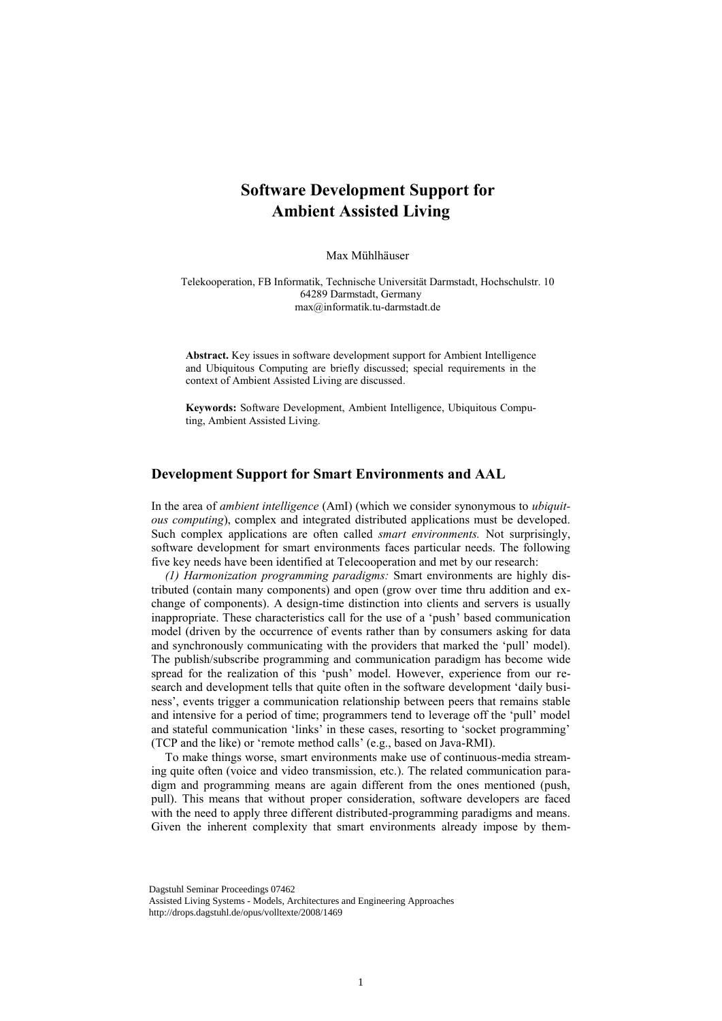## **Software Development Support for Ambient Assisted Living**

Max Mühlhäuser

Telekooperation, FB Informatik, Technische Universität Darmstadt, Hochschulstr. 10 64289 Darmstadt, Germany max@informatik.tu-darmstadt.de

**Abstract.** Key issues in software development support for Ambient Intelligence and Ubiquitous Computing are briefly discussed; special requirements in the context of Ambient Assisted Living are discussed.

**Keywords:** Software Development, Ambient Intelligence, Ubiquitous Computing, Ambient Assisted Living.

## **Development Support for Smart Environments and AAL**

In the area of *ambient intelligence* (AmI) (which we consider synonymous to *ubiquitous computing*), complex and integrated distributed applications must be developed. Such complex applications are often called *smart environments.* Not surprisingly, software development for smart environments faces particular needs. The following five key needs have been identified at Telecooperation and met by our research:

*(1) Harmonization programming paradigms:* Smart environments are highly distributed (contain many components) and open (grow over time thru addition and exchange of components). A design-time distinction into clients and servers is usually inappropriate. These characteristics call for the use of a 'push' based communication model (driven by the occurrence of events rather than by consumers asking for data and synchronously communicating with the providers that marked the 'pull' model). The publish/subscribe programming and communication paradigm has become wide spread for the realization of this 'push' model. However, experience from our research and development tells that quite often in the software development 'daily business', events trigger a communication relationship between peers that remains stable and intensive for a period of time; programmers tend to leverage off the 'pull' model and stateful communication 'links' in these cases, resorting to 'socket programming' (TCP and the like) or 'remote method calls' (e.g., based on Java-RMI).

To make things worse, smart environments make use of continuous-media streaming quite often (voice and video transmission, etc.). The related communication paradigm and programming means are again different from the ones mentioned (push, pull). This means that without proper consideration, software developers are faced with the need to apply three different distributed-programming paradigms and means. Given the inherent complexity that smart environments already impose by them-

Dagstuhl Seminar Proceedings 07462

Assisted Living Systems - Models, Architectures and Engineering Approaches http://drops.dagstuhl.de/opus/volltexte/2008/1469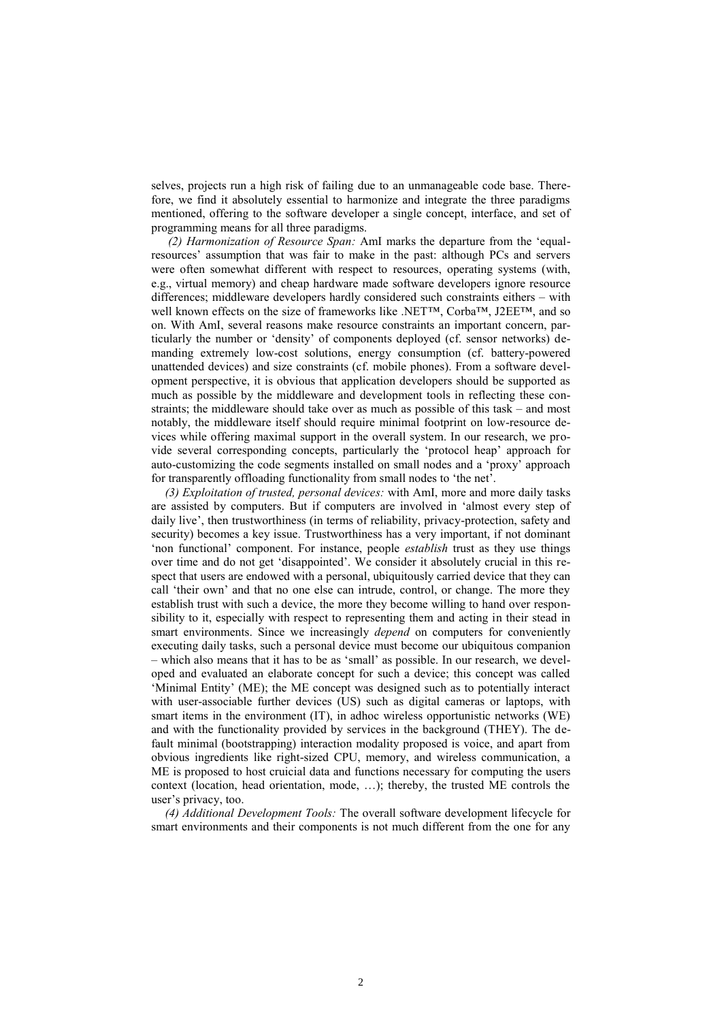selves, projects run a high risk of failing due to an unmanageable code base. Therefore, we find it absolutely essential to harmonize and integrate the three paradigms mentioned, offering to the software developer a single concept, interface, and set of programming means for all three paradigms.

*(2) Harmonization of Resource Span:* AmI marks the departure from the 'equalresources' assumption that was fair to make in the past: although PCs and servers were often somewhat different with respect to resources, operating systems (with, e.g., virtual memory) and cheap hardware made software developers ignore resource differences; middleware developers hardly considered such constraints eithers – with well known effects on the size of frameworks like .NET™, Corba™, J2EE™, and so on. With AmI, several reasons make resource constraints an important concern, particularly the number or 'density' of components deployed (cf. sensor networks) demanding extremely low-cost solutions, energy consumption (cf. battery-powered unattended devices) and size constraints (cf. mobile phones). From a software development perspective, it is obvious that application developers should be supported as much as possible by the middleware and development tools in reflecting these constraints; the middleware should take over as much as possible of this task – and most notably, the middleware itself should require minimal footprint on low-resource devices while offering maximal support in the overall system. In our research, we provide several corresponding concepts, particularly the 'protocol heap' approach for auto-customizing the code segments installed on small nodes and a 'proxy' approach for transparently offloading functionality from small nodes to 'the net'.

*(3) Exploitation of trusted, personal devices:* with AmI, more and more daily tasks are assisted by computers. But if computers are involved in 'almost every step of daily live', then trustworthiness (in terms of reliability, privacy-protection, safety and security) becomes a key issue. Trustworthiness has a very important, if not dominant 'non functional' component. For instance, people *establish* trust as they use things over time and do not get 'disappointed'. We consider it absolutely crucial in this respect that users are endowed with a personal, ubiquitously carried device that they can call 'their own' and that no one else can intrude, control, or change. The more they establish trust with such a device, the more they become willing to hand over responsibility to it, especially with respect to representing them and acting in their stead in smart environments. Since we increasingly *depend* on computers for conveniently executing daily tasks, such a personal device must become our ubiquitous companion – which also means that it has to be as 'small' as possible. In our research, we developed and evaluated an elaborate concept for such a device; this concept was called 'Minimal Entity' (ME); the ME concept was designed such as to potentially interact with user-associable further devices (US) such as digital cameras or laptops, with smart items in the environment (IT), in adhoc wireless opportunistic networks (WE) and with the functionality provided by services in the background (THEY). The default minimal (bootstrapping) interaction modality proposed is voice, and apart from obvious ingredients like right-sized CPU, memory, and wireless communication, a ME is proposed to host cruicial data and functions necessary for computing the users context (location, head orientation, mode, …); thereby, the trusted ME controls the user's privacy, too.

*(4) Additional Development Tools:* The overall software development lifecycle for smart environments and their components is not much different from the one for any